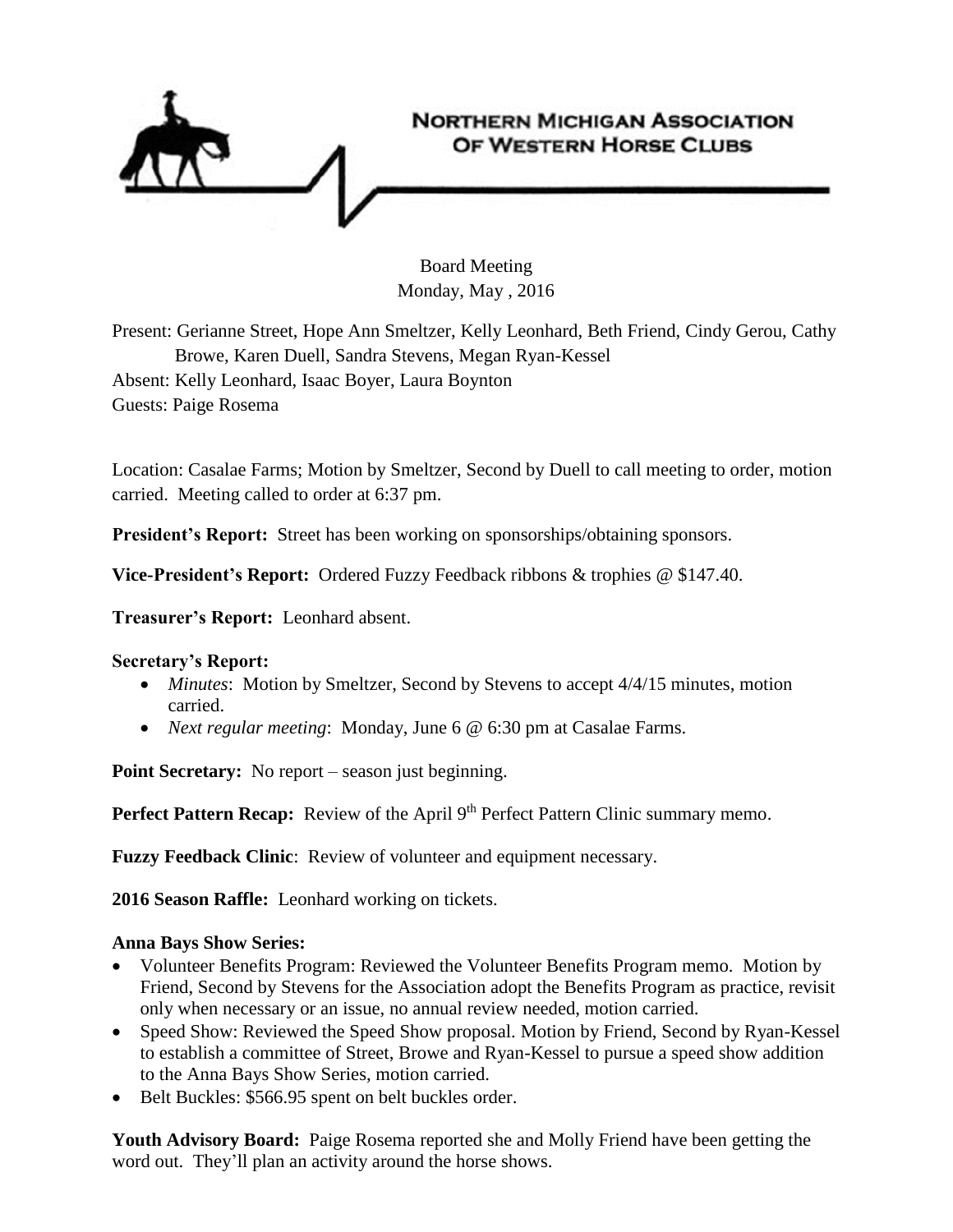

Board Meeting Monday, May , 2016

Present: Gerianne Street, Hope Ann Smeltzer, Kelly Leonhard, Beth Friend, Cindy Gerou, Cathy Browe, Karen Duell, Sandra Stevens, Megan Ryan-Kessel Absent: Kelly Leonhard, Isaac Boyer, Laura Boynton Guests: Paige Rosema

Location: Casalae Farms; Motion by Smeltzer, Second by Duell to call meeting to order, motion carried. Meeting called to order at 6:37 pm.

**President's Report:** Street has been working on sponsorships/obtaining sponsors.

**Vice-President's Report:** Ordered Fuzzy Feedback ribbons & trophies @ \$147.40.

**Treasurer's Report:** Leonhard absent.

## **Secretary's Report:**

- *Minutes*: Motion by Smeltzer, Second by Stevens to accept 4/4/15 minutes, motion carried.
- *Next regular meeting*: Monday, June 6 @ 6:30 pm at Casalae Farms.

**Point Secretary:** No report – season just beginning.

**Perfect Pattern Recap:** Review of the April 9<sup>th</sup> Perfect Pattern Clinic summary memo.

**Fuzzy Feedback Clinic**: Review of volunteer and equipment necessary.

**2016 Season Raffle:** Leonhard working on tickets.

## **Anna Bays Show Series:**

- Volunteer Benefits Program: Reviewed the Volunteer Benefits Program memo. Motion by Friend, Second by Stevens for the Association adopt the Benefits Program as practice, revisit only when necessary or an issue, no annual review needed, motion carried.
- Speed Show: Reviewed the Speed Show proposal. Motion by Friend, Second by Ryan-Kessel to establish a committee of Street, Browe and Ryan-Kessel to pursue a speed show addition to the Anna Bays Show Series, motion carried.
- Belt Buckles: \$566.95 spent on belt buckles order.

**Youth Advisory Board:** Paige Rosema reported she and Molly Friend have been getting the word out. They'll plan an activity around the horse shows.